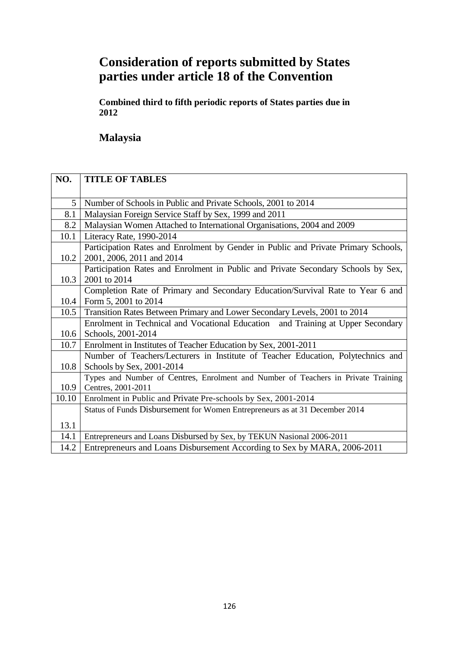# **Consideration of reports submitted by States parties under article 18 of the Convention**

**Combined third to fifth periodic reports of States parties due in 2012**

**Malaysia**

| NO.   | <b>TITLE OF TABLES</b>                                                                                          |
|-------|-----------------------------------------------------------------------------------------------------------------|
|       |                                                                                                                 |
| 5     | Number of Schools in Public and Private Schools, 2001 to 2014                                                   |
| 8.1   | Malaysian Foreign Service Staff by Sex, 1999 and 2011                                                           |
| 8.2   | Malaysian Women Attached to International Organisations, 2004 and 2009                                          |
| 10.1  | Literacy Rate, 1990-2014                                                                                        |
| 10.2  | Participation Rates and Enrolment by Gender in Public and Private Primary Schools,<br>2001, 2006, 2011 and 2014 |
|       | Participation Rates and Enrolment in Public and Private Secondary Schools by Sex,                               |
| 10.3  | 2001 to 2014                                                                                                    |
|       | Completion Rate of Primary and Secondary Education/Survival Rate to Year 6 and                                  |
| 10.4  | Form 5, 2001 to 2014                                                                                            |
| 10.5  | Transition Rates Between Primary and Lower Secondary Levels, 2001 to 2014                                       |
|       | Enrolment in Technical and Vocational Education and Training at Upper Secondary                                 |
| 10.6  | Schools, 2001-2014                                                                                              |
| 10.7  | Enrolment in Institutes of Teacher Education by Sex, 2001-2011                                                  |
|       | Number of Teachers/Lecturers in Institute of Teacher Education, Polytechnics and                                |
| 10.8  | Schools by Sex, 2001-2014                                                                                       |
|       | Types and Number of Centres, Enrolment and Number of Teachers in Private Training                               |
| 10.9  | Centres, 2001-2011                                                                                              |
| 10.10 | Enrolment in Public and Private Pre-schools by Sex, 2001-2014                                                   |
|       | Status of Funds Disbursement for Women Entrepreneurs as at 31 December 2014                                     |
| 13.1  |                                                                                                                 |
| 14.1  | Entrepreneurs and Loans Disbursed by Sex, by TEKUN Nasional 2006-2011                                           |
| 14.2  | Entrepreneurs and Loans Disbursement According to Sex by MARA, 2006-2011                                        |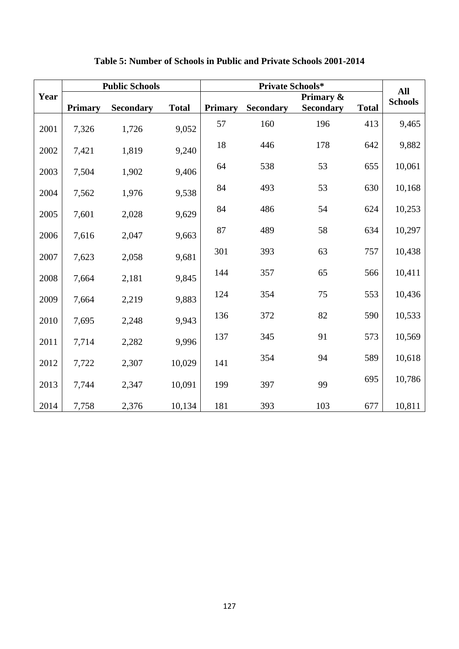|      |                | <b>Public Schools</b> |              |                |           | All              |              |                |
|------|----------------|-----------------------|--------------|----------------|-----------|------------------|--------------|----------------|
| Year |                |                       |              |                |           | Primary &        |              | <b>Schools</b> |
|      | <b>Primary</b> | <b>Secondary</b>      | <b>Total</b> | <b>Primary</b> | Secondary | <b>Secondary</b> | <b>Total</b> |                |
| 2001 | 7,326          | 1,726                 | 9,052        | 57             | 160       | 196              | 413          | 9,465          |
| 2002 | 7,421          | 1,819                 | 9,240        | $18\,$         | 446       | 178              | 642          | 9,882          |
| 2003 | 7,504          | 1,902                 | 9,406        | 64             | 538       | 53               | 655          | 10,061         |
| 2004 | 7,562          | 1,976                 | 9,538        | 84             | 493       | 53               | 630          | 10,168         |
| 2005 | 7,601          | 2,028                 | 9,629        | 84             | 486       | 54               | 624          | 10,253         |
| 2006 | 7,616          | 2,047                 | 9,663        | 87             | 489       | 58               | 634          | 10,297         |
| 2007 | 7,623          | 2,058                 | 9,681        | 301            | 393       | 63               | 757          | 10,438         |
| 2008 | 7,664          | 2,181                 | 9,845        | 144            | 357       | 65               | 566          | 10,411         |
| 2009 | 7,664          | 2,219                 | 9,883        | 124            | 354       | 75               | 553          | 10,436         |
| 2010 | 7,695          | 2,248                 | 9,943        | 136            | 372       | 82               | 590          | 10,533         |
| 2011 | 7,714          | 2,282                 | 9,996        | 137            | 345       | 91               | 573          | 10,569         |
| 2012 | 7,722          | 2,307                 | 10,029       | 141            | 354       | 94               | 589          | 10,618         |
| 2013 | 7,744          | 2,347                 | 10,091       | 199            | 397       | 99               | 695          | 10,786         |
| 2014 | 7,758          | 2,376                 | 10,134       | 181            | 393       | 103              | 677          | 10,811         |

### **Table 5: Number of Schools in Public and Private Schools 2001-2014**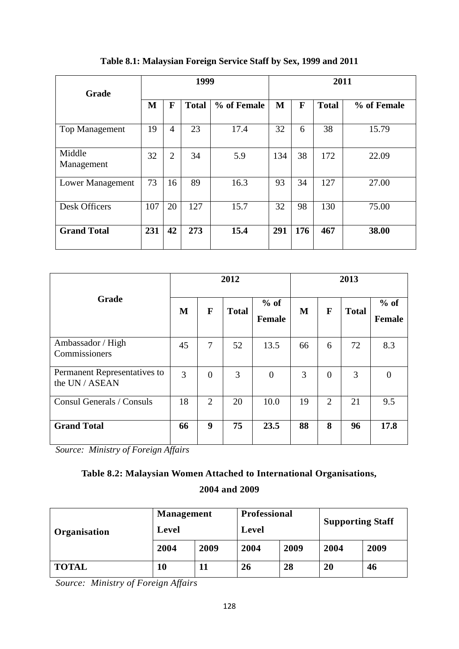| Grade                 | 1999 |                |              |             | 2011 |     |              |             |
|-----------------------|------|----------------|--------------|-------------|------|-----|--------------|-------------|
|                       | M    | F              | <b>Total</b> | % of Female | M    | F   | <b>Total</b> | % of Female |
| <b>Top Management</b> | 19   | 4              | 23           | 17.4        | 32   | 6   | 38           | 15.79       |
| Middle<br>Management  | 32   | $\overline{2}$ | 34           | 5.9         | 134  | 38  | 172          | 22.09       |
| Lower Management      | 73   | 16             | 89           | 16.3        | 93   | 34  | 127          | 27.00       |
| <b>Desk Officers</b>  | 107  | 20             | 127          | 15.7        | 32   | 98  | 130          | 75.00       |
| <b>Grand Total</b>    | 231  | 42             | 273          | 15.4        | 291  | 176 | 467          | 38.00       |

### **Table 8.1: Malaysian Foreign Service Staff by Sex, 1999 and 2011**

|                                                | 2012 |                |              |                         | 2013 |                |              |                         |
|------------------------------------------------|------|----------------|--------------|-------------------------|------|----------------|--------------|-------------------------|
| <b>Grade</b>                                   | M    | F              | <b>Total</b> | $%$ of<br><b>Female</b> | M    | F              | <b>Total</b> | $%$ of<br><b>Female</b> |
| Ambassador / High<br>Commissioners             | 45   | 7              | 52           | 13.5                    | 66   | 6              | 72           | 8.3                     |
| Permanent Representatives to<br>the UN / ASEAN | 3    | $\Omega$       | 3            | $\overline{0}$          | 3    | $\overline{0}$ | 3            | $\Omega$                |
| Consul Generals / Consuls                      | 18   | $\overline{2}$ | 20           | 10.0                    | 19   | $\overline{2}$ | 21           | 9.5                     |
| <b>Grand Total</b>                             | 66   | 9              | 75           | 23.5                    | 88   | 8              | 96           | 17.8                    |

*Source: Ministry of Foreign Affairs*

# **Table 8.2: Malaysian Women Attached to International Organisations,**

### **2004 and 2009**

|              | <b>Management</b> |      | <b>Professional</b> |      | <b>Supporting Staff</b> |      |
|--------------|-------------------|------|---------------------|------|-------------------------|------|
| Organisation | Level             |      | Level               |      |                         |      |
|              | 2004              | 2009 | 2004                | 2009 | 2004                    | 2009 |
| <b>TOTAL</b> | 10                |      | 26                  | 28   | 20                      | 46   |

*Source: Ministry of Foreign Affairs*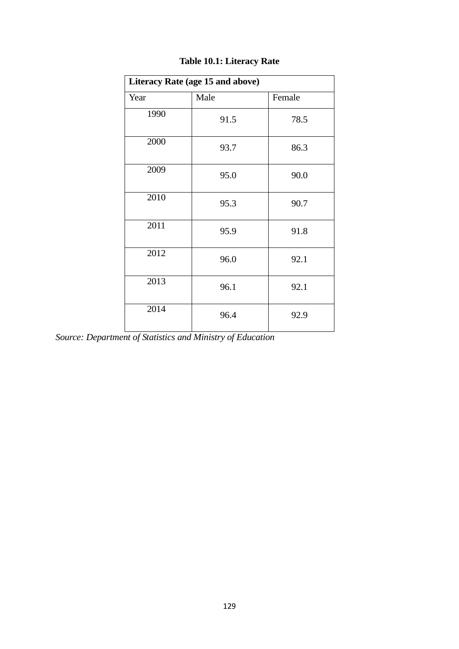| Literacy Rate (age 15 and above) |      |        |  |  |  |  |  |  |  |
|----------------------------------|------|--------|--|--|--|--|--|--|--|
| Year                             | Male | Female |  |  |  |  |  |  |  |
| 1990                             | 91.5 | 78.5   |  |  |  |  |  |  |  |
| 2000                             | 93.7 | 86.3   |  |  |  |  |  |  |  |
| 2009                             | 95.0 | 90.0   |  |  |  |  |  |  |  |
| 2010                             | 95.3 | 90.7   |  |  |  |  |  |  |  |
| 2011                             | 95.9 | 91.8   |  |  |  |  |  |  |  |
| 2012                             | 96.0 | 92.1   |  |  |  |  |  |  |  |
| 2013                             | 96.1 | 92.1   |  |  |  |  |  |  |  |
| 2014                             | 96.4 | 92.9   |  |  |  |  |  |  |  |

# **Table 10.1: Literacy Rate**

*Source: Department of Statistics and Ministry of Education*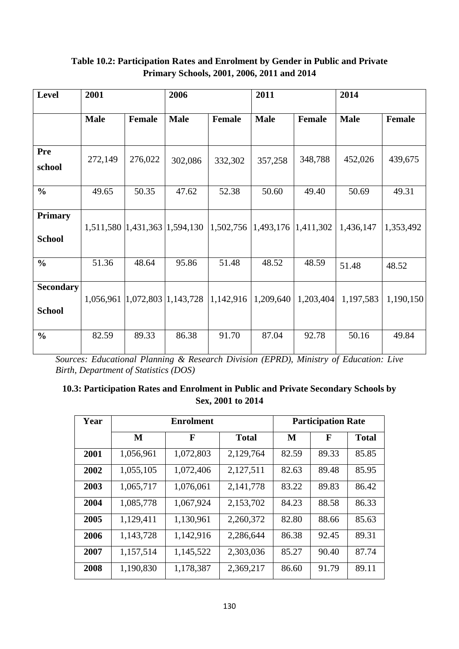| <b>Level</b>                      | 2001        |               | 2006                          |               | 2011        |               | 2014        |               |
|-----------------------------------|-------------|---------------|-------------------------------|---------------|-------------|---------------|-------------|---------------|
|                                   | <b>Male</b> | <b>Female</b> | <b>Male</b>                   | <b>Female</b> | <b>Male</b> | <b>Female</b> | <b>Male</b> | <b>Female</b> |
| <b>Pre</b><br>school              | 272,149     | 276,022       | 302,086                       | 332,302       | 357,258     | 348,788       | 452,026     | 439,675       |
| $\frac{0}{0}$                     | 49.65       | 50.35         | 47.62                         | 52.38         | 50.60       | 49.40         | 50.69       | 49.31         |
| <b>Primary</b><br><b>School</b>   |             |               | 1,511,580 1,431,363 1,594,130 | 1,502,756     | 1,493,176   | 1,411,302     | 1,436,147   | 1,353,492     |
| $\frac{0}{0}$                     | 51.36       | 48.64         | 95.86                         | 51.48         | 48.52       | 48.59         | 51.48       | 48.52         |
| <b>Secondary</b><br><b>School</b> | 1,056,961   | 1,072,803     | 1,143,728                     | 1,142,916     | 1,209,640   | 1,203,404     | 1,197,583   | 1,190,150     |
| $\frac{0}{0}$                     | 82.59       | 89.33         | 86.38                         | 91.70         | 87.04       | 92.78         | 50.16       | 49.84         |

#### **Table 10.2: Participation Rates and Enrolment by Gender in Public and Private Primary Schools, 2001, 2006, 2011 and 2014**

*Sources: Educational Planning & Research Division (EPRD), Ministry of Education: Live Birth, Department of Statistics (DOS)* 

### **10.3: Participation Rates and Enrolment in Public and Private Secondary Schools by Sex, 2001 to 2014**

| Year |           | <b>Enrolment</b> | <b>Participation Rate</b> |       |       |              |
|------|-----------|------------------|---------------------------|-------|-------|--------------|
|      | M         | F                | <b>Total</b>              | M     | F     | <b>Total</b> |
| 2001 | 1,056,961 | 1,072,803        | 2,129,764                 | 82.59 | 89.33 | 85.85        |
| 2002 | 1,055,105 | 1,072,406        | 2,127,511                 | 82.63 | 89.48 | 85.95        |
| 2003 | 1,065,717 | 1,076,061        | 2,141,778                 | 83.22 | 89.83 | 86.42        |
| 2004 | 1,085,778 | 1,067,924        | 2,153,702                 | 84.23 | 88.58 | 86.33        |
| 2005 | 1,129,411 | 1,130,961        | 2,260,372                 | 82.80 | 88.66 | 85.63        |
| 2006 | 1,143,728 | 1,142,916        | 2,286,644                 | 86.38 | 92.45 | 89.31        |
| 2007 | 1,157,514 | 1,145,522        | 2,303,036                 | 85.27 | 90.40 | 87.74        |
| 2008 | 1,190,830 | 1,178,387        | 2,369,217                 | 86.60 | 91.79 | 89.11        |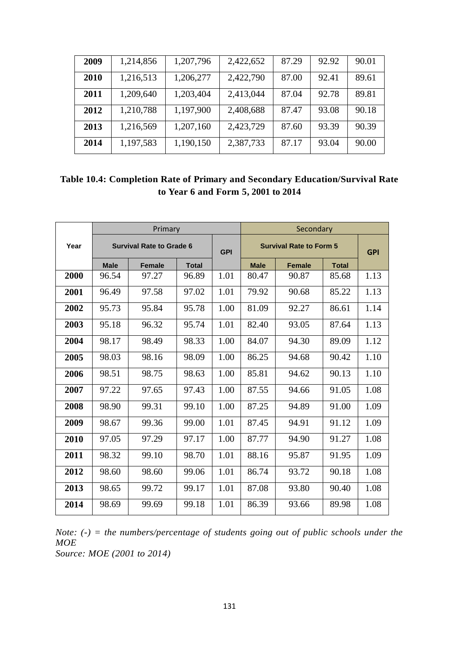| 2009 | 1,214,856 | 1,207,796 | 2,422,652 | 87.29 | 92.92 | 90.01 |
|------|-----------|-----------|-----------|-------|-------|-------|
| 2010 | 1,216,513 | 1,206,277 | 2,422,790 | 87.00 | 92.41 | 89.61 |
| 2011 | 1,209,640 | 1,203,404 | 2,413,044 | 87.04 | 92.78 | 89.81 |
| 2012 | 1,210,788 | 1,197,900 | 2,408,688 | 87.47 | 93.08 | 90.18 |
| 2013 | 1,216,569 | 1,207,160 | 2,423,729 | 87.60 | 93.39 | 90.39 |
| 2014 | 1,197,583 | 1,190,150 | 2,387,733 | 87.17 | 93.04 | 90.00 |

| Table 10.4: Completion Rate of Primary and Secondary Education/Survival Rate |  |
|------------------------------------------------------------------------------|--|
| to Year 6 and Form 5, 2001 to 2014                                           |  |

|      |             | Primary                         |              |            | Secondary   |                                |              |      |
|------|-------------|---------------------------------|--------------|------------|-------------|--------------------------------|--------------|------|
| Year |             | <b>Survival Rate to Grade 6</b> |              | <b>GPI</b> |             | <b>Survival Rate to Form 5</b> | <b>GPI</b>   |      |
|      | <b>Male</b> | <b>Female</b>                   | <b>Total</b> |            | <b>Male</b> | <b>Female</b>                  | <b>Total</b> |      |
| 2000 | 96.54       | 97.27                           | 96.89        | 1.01       | 80.47       | 90.87                          | 85.68        | 1.13 |
| 2001 | 96.49       | 97.58                           | 97.02        | 1.01       | 79.92       | 90.68                          | 85.22        | 1.13 |
| 2002 | 95.73       | 95.84                           | 95.78        | 1.00       | 81.09       | 92.27                          | 86.61        | 1.14 |
| 2003 | 95.18       | 96.32                           | 95.74        | 1.01       | 82.40       | 93.05                          | 87.64        | 1.13 |
| 2004 | 98.17       | 98.49                           | 98.33        | 1.00       | 84.07       | 94.30                          | 89.09        | 1.12 |
| 2005 | 98.03       | 98.16                           | 98.09        | 1.00       | 86.25       | 94.68                          | 90.42        | 1.10 |
| 2006 | 98.51       | 98.75                           | 98.63        | 1.00       | 85.81       | 94.62                          | 90.13        | 1.10 |
| 2007 | 97.22       | 97.65                           | 97.43        | 1.00       | 87.55       | 94.66                          | 91.05        | 1.08 |
| 2008 | 98.90       | 99.31                           | 99.10        | 1.00       | 87.25       | 94.89                          | 91.00        | 1.09 |
| 2009 | 98.67       | 99.36                           | 99.00        | 1.01       | 87.45       | 94.91                          | 91.12        | 1.09 |
| 2010 | 97.05       | 97.29                           | 97.17        | 1.00       | 87.77       | 94.90                          | 91.27        | 1.08 |
| 2011 | 98.32       | 99.10                           | 98.70        | 1.01       | 88.16       | 95.87                          | 91.95        | 1.09 |
| 2012 | 98.60       | 98.60                           | 99.06        | 1.01       | 86.74       | 93.72                          | 90.18        | 1.08 |
| 2013 | 98.65       | 99.72                           | 99.17        | 1.01       | 87.08       | 93.80                          | 90.40        | 1.08 |
| 2014 | 98.69       | 99.69                           | 99.18        | 1.01       | 86.39       | 93.66                          | 89.98        | 1.08 |

*Note: (-) = the numbers/percentage of students going out of public schools under the MOE Source: MOE (2001 to 2014)*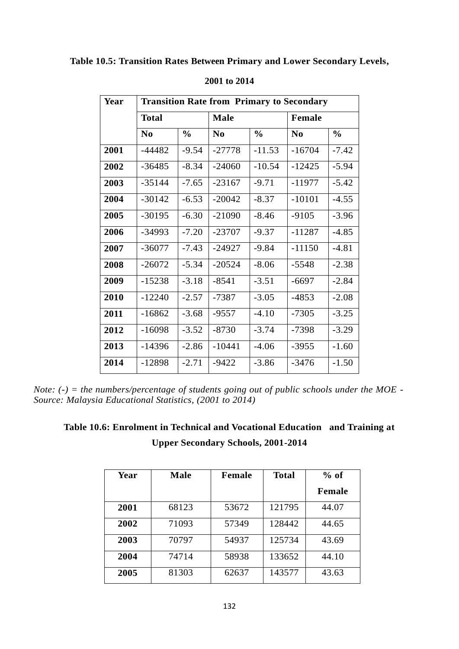#### **Table 10.5: Transition Rates Between Primary and Lower Secondary Levels,**

| Year | <b>Transition Rate from Primary to Secondary</b> |               |             |               |          |               |  |  |  |
|------|--------------------------------------------------|---------------|-------------|---------------|----------|---------------|--|--|--|
|      | <b>Total</b>                                     |               | <b>Male</b> |               | Female   |               |  |  |  |
|      | $\bf No$                                         | $\frac{0}{0}$ | $\bf No$    | $\frac{0}{0}$ | $\bf No$ | $\frac{0}{0}$ |  |  |  |
| 2001 | $-44482$                                         | $-9.54$       | $-27778$    | $-11.53$      | $-16704$ | $-7.42$       |  |  |  |
| 2002 | $-36485$                                         | $-8.34$       | $-24060$    | $-10.54$      | $-12425$ | $-5.94$       |  |  |  |
| 2003 | $-35144$                                         | $-7.65$       | $-23167$    | $-9.71$       | $-11977$ | $-5.42$       |  |  |  |
| 2004 | $-30142$                                         | $-6.53$       | $-20042$    | $-8.37$       | $-10101$ | $-4.55$       |  |  |  |
| 2005 | $-30195$                                         | $-6.30$       | $-21090$    | $-8.46$       | $-9105$  | $-3.96$       |  |  |  |
| 2006 | $-34993$                                         | $-7.20$       | $-23707$    | $-9.37$       | $-11287$ | $-4.85$       |  |  |  |
| 2007 | $-36077$                                         | $-7.43$       | $-24927$    | $-9.84$       | $-11150$ | $-4.81$       |  |  |  |
| 2008 | $-26072$                                         | $-5.34$       | $-20524$    | $-8.06$       | $-5548$  | $-2.38$       |  |  |  |
| 2009 | $-15238$                                         | $-3.18$       | $-8541$     | $-3.51$       | $-6697$  | $-2.84$       |  |  |  |
| 2010 | $-12240$                                         | $-2.57$       | $-7387$     | $-3.05$       | $-4853$  | $-2.08$       |  |  |  |
| 2011 | $-16862$                                         | $-3.68$       | $-9557$     | $-4.10$       | $-7305$  | $-3.25$       |  |  |  |
| 2012 | $-16098$                                         | $-3.52$       | $-8730$     | $-3.74$       | $-7398$  | $-3.29$       |  |  |  |
| 2013 | -14396                                           | $-2.86$       | $-10441$    | $-4.06$       | $-3955$  | $-1.60$       |  |  |  |
| 2014 | -12898                                           | $-2.71$       | $-9422$     | $-3.86$       | $-3476$  | $-1.50$       |  |  |  |

#### **2001 to 2014**

*Note: (-) = the numbers/percentage of students going out of public schools under the MOE - Source: Malaysia Educational Statistics, (2001 to 2014)*

### **Table 10.6: Enrolment in Technical and Vocational Education and Training at Upper Secondary Schools, 2001-2014**

| Year | <b>Male</b> | Female | <b>Total</b> | $%$ of        |
|------|-------------|--------|--------------|---------------|
|      |             |        |              | <b>Female</b> |
| 2001 | 68123       | 53672  | 121795       | 44.07         |
| 2002 | 71093       | 57349  | 128442       | 44.65         |
| 2003 | 70797       | 54937  | 125734       | 43.69         |
| 2004 | 74714       | 58938  | 133652       | 44.10         |
| 2005 | 81303       | 62637  | 143577       | 43.63         |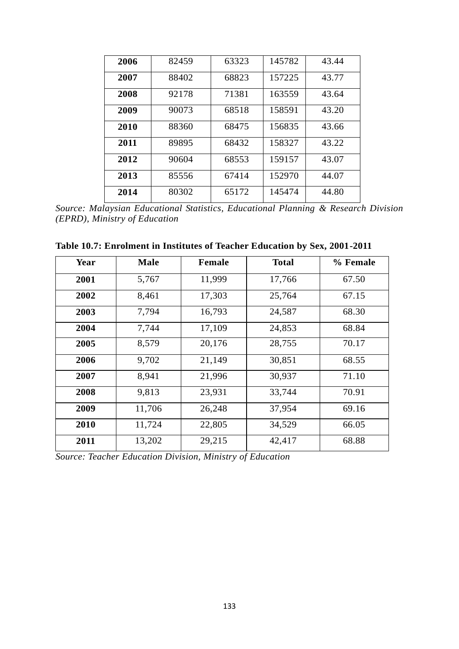| 2006 | 82459 | 63323 | 145782 | 43.44 |
|------|-------|-------|--------|-------|
| 2007 | 88402 | 68823 | 157225 | 43.77 |
| 2008 | 92178 | 71381 | 163559 | 43.64 |
| 2009 | 90073 | 68518 | 158591 | 43.20 |
| 2010 | 88360 | 68475 | 156835 | 43.66 |
| 2011 | 89895 | 68432 | 158327 | 43.22 |
| 2012 | 90604 | 68553 | 159157 | 43.07 |
| 2013 | 85556 | 67414 | 152970 | 44.07 |
| 2014 | 80302 | 65172 | 145474 | 44.80 |

*Source: Malaysian Educational Statistics, Educational Planning & Research Division (EPRD), Ministry of Education*

| Year | <b>Male</b> | <b>Female</b> | <b>Total</b> | % Female |
|------|-------------|---------------|--------------|----------|
| 2001 | 5,767       | 11,999        | 17,766       | 67.50    |
| 2002 | 8,461       | 17,303        | 25,764       | 67.15    |
| 2003 | 7,794       | 16,793        | 24,587       | 68.30    |
| 2004 | 7,744       | 17,109        | 24,853       | 68.84    |
| 2005 | 8,579       | 20,176        | 28,755       | 70.17    |
| 2006 | 9,702       | 21,149        | 30,851       | 68.55    |
| 2007 | 8,941       | 21,996        | 30,937       | 71.10    |
| 2008 | 9,813       | 23,931        | 33,744       | 70.91    |
| 2009 | 11,706      | 26,248        | 37,954       | 69.16    |
| 2010 | 11,724      | 22,805        | 34,529       | 66.05    |
| 2011 | 13,202      | 29,215        | 42,417       |          |

**Table 10.7: Enrolment in Institutes of Teacher Education by Sex, 2001-2011**

*Source: Teacher Education Division, Ministry of Education*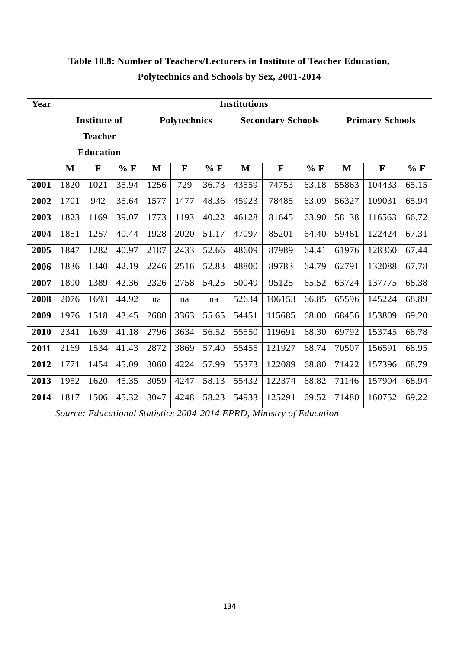| Year | <b>Institutions</b> |                     |       |      |                     |       |                          |             |       |                        |             |       |
|------|---------------------|---------------------|-------|------|---------------------|-------|--------------------------|-------------|-------|------------------------|-------------|-------|
|      |                     | <b>Institute of</b> |       |      | <b>Polytechnics</b> |       | <b>Secondary Schools</b> |             |       | <b>Primary Schools</b> |             |       |
|      |                     | <b>Teacher</b>      |       |      |                     |       |                          |             |       |                        |             |       |
|      |                     | <b>Education</b>    |       |      |                     |       |                          |             |       |                        |             |       |
|      | M                   | F                   | $%$ F | M    | $\mathbf{F}$        | $%$ F | $\bf M$                  | $\mathbf F$ | $%$ F | $\mathbf{M}$           | $\mathbf F$ | $%$ F |
| 2001 | 1820                | 1021                | 35.94 | 1256 | 729                 | 36.73 | 43559                    | 74753       | 63.18 | 55863                  | 104433      | 65.15 |
| 2002 | 1701                | 942                 | 35.64 | 1577 | 1477                | 48.36 | 45923                    | 78485       | 63.09 | 56327                  | 109031      | 65.94 |
| 2003 | 1823                | 1169                | 39.07 | 1773 | 1193                | 40.22 | 46128                    | 81645       | 63.90 | 58138                  | 116563      | 66.72 |
| 2004 | 1851                | 1257                | 40.44 | 1928 | 2020                | 51.17 | 47097                    | 85201       | 64.40 | 59461                  | 122424      | 67.31 |
| 2005 | 1847                | 1282                | 40.97 | 2187 | 2433                | 52.66 | 48609                    | 87989       | 64.41 | 61976                  | 128360      | 67.44 |
| 2006 | 1836                | 1340                | 42.19 | 2246 | 2516                | 52.83 | 48800                    | 89783       | 64.79 | 62791                  | 132088      | 67.78 |
| 2007 | 1890                | 1389                | 42.36 | 2326 | 2758                | 54.25 | 50049                    | 95125       | 65.52 | 63724                  | 137775      | 68.38 |
| 2008 | 2076                | 1693                | 44.92 | na   | na                  | na    | 52634                    | 106153      | 66.85 | 65596                  | 145224      | 68.89 |
| 2009 | 1976                | 1518                | 43.45 | 2680 | 3363                | 55.65 | 54451                    | 115685      | 68.00 | 68456                  | 153809      | 69.20 |
| 2010 | 2341                | 1639                | 41.18 | 2796 | 3634                | 56.52 | 55550                    | 119691      | 68.30 | 69792                  | 153745      | 68.78 |
| 2011 | 2169                | 1534                | 41.43 | 2872 | 3869                | 57.40 | 55455                    | 121927      | 68.74 | 70507                  | 156591      | 68.95 |
| 2012 | 1771                | 1454                | 45.09 | 3060 | 4224                | 57.99 | 55373                    | 122089      | 68.80 | 71422                  | 157396      | 68.79 |
| 2013 | 1952                | 1620                | 45.35 | 3059 | 4247                | 58.13 | 55432                    | 122374      | 68.82 | 71146                  | 157904      | 68.94 |
| 2014 | 1817                | 1506                | 45.32 | 3047 | 4248                | 58.23 | 54933                    | 125291      | 69.52 | 71480                  | 160752      | 69.22 |

# **Table 10.8: Number of Teachers/Lecturers in Institute of Teacher Education, Polytechnics and Schools by Sex, 2001-2014**

*Source: Educational Statistics 2004-2014 EPRD, Ministry of Education*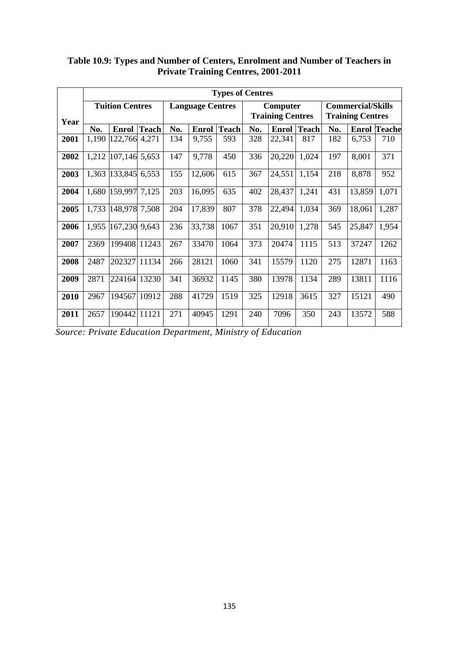|      | <b>Types of Centres</b> |                        |              |     |                         |              |                                     |              |              |                                                     |        |                     |
|------|-------------------------|------------------------|--------------|-----|-------------------------|--------------|-------------------------------------|--------------|--------------|-----------------------------------------------------|--------|---------------------|
| Year |                         | <b>Tuition Centres</b> |              |     | <b>Language Centres</b> |              | Computer<br><b>Training Centres</b> |              |              | <b>Commercial/Skills</b><br><b>Training Centres</b> |        |                     |
|      | No.                     | <b>Enrol</b>           | <b>Teach</b> | No. | <b>Enrol</b>            | <b>Teach</b> | No.                                 | <b>Enrol</b> | <b>Teach</b> | No.                                                 |        | <b>Enrol Teache</b> |
| 2001 | 1,190                   | 122,766 4,271          |              | 134 | 9,755                   | 593          | 328                                 | 22,341       | 817          | 182                                                 | 6,753  | 710                 |
| 2002 | 1,212                   | 107,146 5,653          |              | 147 | 9,778                   | 450          | 336                                 | 20,220       | 1,024        | 197                                                 | 8,001  | 371                 |
| 2003 | 1,363                   | 133,845 6,553          |              | 155 | 12,606                  | 615          | 367                                 | 24,551       | 1,154        | 218                                                 | 8,878  | 952                 |
| 2004 | 1,680                   | 159,997 7,125          |              | 203 | 16,095                  | 635          | 402                                 | 28,437       | 1,241        | 431                                                 | 13,859 | 1,071               |
| 2005 | 1,733                   | 148,978 7,508          |              | 204 | 17,839                  | 807          | 378                                 | 22,494       | 1,034        | 369                                                 | 18,061 | 1,287               |
| 2006 | 1,955                   | 167,230 9,643          |              | 236 | 33,738                  | 1067         | 351                                 | 20,910       | 1,278        | 545                                                 | 25,847 | 1,954               |
| 2007 | 2369                    | 199408 11243           |              | 267 | 33470                   | 1064         | 373                                 | 20474        | 1115         | 513                                                 | 37247  | 1262                |
| 2008 | 2487                    | 202327                 | 11134        | 266 | 28121                   | 1060         | 341                                 | 15579        | 1120         | 275                                                 | 12871  | 1163                |
| 2009 | 2871                    | 224164 13230           |              | 341 | 36932                   | 1145         | 380                                 | 13978        | 1134         | 289                                                 | 13811  | 1116                |
| 2010 | 2967                    | 194567                 | 10912        | 288 | 41729                   | 1519         | 325                                 | 12918        | 3615         | 327                                                 | 15121  | 490                 |
| 2011 | 2657                    | 190442 11121           |              | 271 | 40945                   | 1291         | 240                                 | 7096         | 350          | 243                                                 | 13572  | 588                 |

**Table 10.9: Types and Number of Centers, Enrolment and Number of Teachers in Private Training Centres, 2001-2011**

*Source: Private Education Department, Ministry of Education*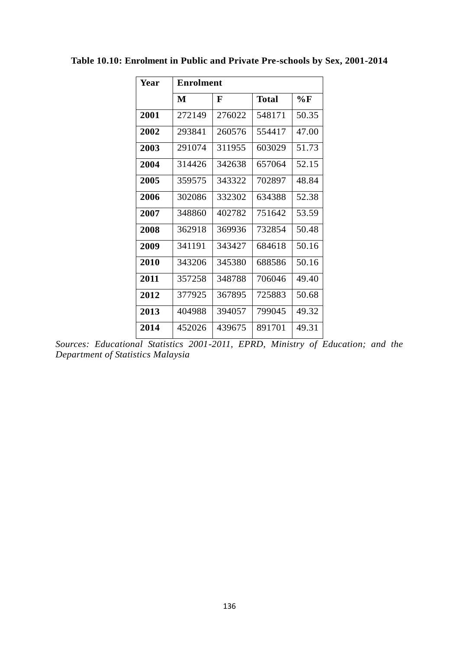| Year | <b>Enrolment</b> |        |        |       |  |  |  |  |  |
|------|------------------|--------|--------|-------|--|--|--|--|--|
|      | M                | F      | Total  | %F    |  |  |  |  |  |
| 2001 | 272149           | 276022 | 548171 | 50.35 |  |  |  |  |  |
| 2002 | 293841           | 260576 | 554417 | 47.00 |  |  |  |  |  |
| 2003 | 291074           | 311955 | 603029 | 51.73 |  |  |  |  |  |
| 2004 | 314426           | 342638 | 657064 | 52.15 |  |  |  |  |  |
| 2005 | 359575           | 343322 | 702897 | 48.84 |  |  |  |  |  |
| 2006 | 302086           | 332302 | 634388 | 52.38 |  |  |  |  |  |
| 2007 | 348860           | 402782 | 751642 | 53.59 |  |  |  |  |  |
| 2008 | 362918           | 369936 | 732854 | 50.48 |  |  |  |  |  |
| 2009 | 341191           | 343427 | 684618 | 50.16 |  |  |  |  |  |
| 2010 | 343206           | 345380 | 688586 | 50.16 |  |  |  |  |  |
| 2011 | 357258           | 348788 | 706046 | 49.40 |  |  |  |  |  |
| 2012 | 377925           | 367895 | 725883 | 50.68 |  |  |  |  |  |
| 2013 | 404988           | 394057 | 799045 | 49.32 |  |  |  |  |  |
| 2014 | 452026           | 439675 | 891701 | 49.31 |  |  |  |  |  |

**Table 10.10: Enrolment in Public and Private Pre-schools by Sex, 2001-2014**

*Sources: Educational Statistics 2001-2011, EPRD, Ministry of Education; and the Department of Statistics Malaysia*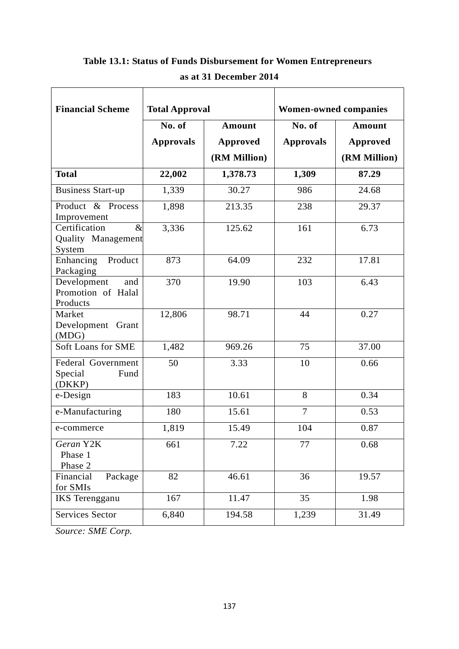| <b>Financial Scheme</b>                                | <b>Total Approval</b> |                 | <b>Women-owned companies</b> |                 |  |
|--------------------------------------------------------|-----------------------|-----------------|------------------------------|-----------------|--|
|                                                        | No. of                | <b>Amount</b>   | No. of                       | <b>Amount</b>   |  |
|                                                        | <b>Approvals</b>      | <b>Approved</b> | <b>Approvals</b>             | <b>Approved</b> |  |
|                                                        |                       | (RM Million)    |                              | (RM Million)    |  |
| <b>Total</b>                                           | 22,002                | 1,378.73        | 1,309                        | 87.29           |  |
| <b>Business Start-up</b>                               | 1,339                 | 30.27           | 986                          | 24.68           |  |
| Product & Process<br>Improvement                       | 1,898                 | 213.35          | 238                          | 29.37           |  |
| Certification<br>$\&$<br>Quality Management<br>System  | 3,336                 | 125.62          | 161                          | 6.73            |  |
| Enhancing<br>Product<br>Packaging                      | 873                   | 64.09           | 232                          | 17.81           |  |
| Development<br>and<br>Promotion of Halal<br>Products   | 370                   | 19.90           | 103                          | 6.43            |  |
| Market<br>Development Grant<br>(MDG)                   | 12,806                | 98.71           | 44                           | 0.27            |  |
| Soft Loans for SME                                     | 1,482                 | 969.26          | 75                           | 37.00           |  |
| <b>Federal Government</b><br>Special<br>Fund<br>(DKKP) | 50                    | 3.33            | 10                           | 0.66            |  |
| e-Design                                               | 183                   | 10.61           | 8                            | 0.34            |  |
| e-Manufacturing                                        | 180                   | 15.61           | $\overline{7}$               | 0.53            |  |
| e-commerce                                             | 1,819                 | 15.49           | 104                          | 0.87            |  |
| Geran Y2K<br>Phase 1<br>Phase 2                        | 661                   | 7.22            | 77                           | 0.68            |  |
| Financial<br>Package<br>for SMIs                       | 82                    | 46.61           | 36                           | 19.57           |  |
| <b>IKS</b> Terengganu                                  | 167                   | 11.47           | 35                           | 1.98            |  |
| <b>Services Sector</b>                                 | 6,840                 | 194.58          | 1,239                        | 31.49           |  |

# **Table 13.1: Status of Funds Disbursement for Women Entrepreneurs as at 31 December 2014**

 $\overline{\phantom{0}}$ 

*Source: SME Corp.*